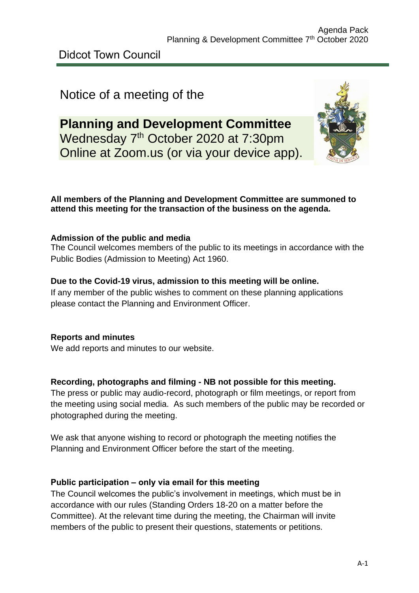Didcot Town Council

# Notice of a meeting of the

# **Planning and Development Committee** Wednesday 7<sup>th</sup> October 2020 at 7:30pm Online at Zoom.us (or via your device app).



#### **All members of the Planning and Development Committee are summoned to attend this meeting for the transaction of the business on the agenda.**

#### **Admission of the public and media**

The Council welcomes members of the public to its meetings in accordance with the Public Bodies (Admission to Meeting) Act 1960.

#### **Due to the Covid-19 virus, admission to this meeting will be online.**

If any member of the public wishes to comment on these planning applications please contact the Planning and Environment Officer.

#### **Reports and minutes**

We add reports and minutes to our website.

#### **Recording, photographs and filming - NB not possible for this meeting.**

The press or public may audio-record, photograph or film meetings, or report from the meeting using social media. As such members of the public may be recorded or photographed during the meeting.

We ask that anyone wishing to record or photograph the meeting notifies the Planning and Environment Officer before the start of the meeting.

#### **Public participation – only via email for this meeting**

The Council welcomes the public's involvement in meetings, which must be in accordance with our rules (Standing Orders 18-20 on a matter before the Committee). At the relevant time during the meeting, the Chairman will invite members of the public to present their questions, statements or petitions.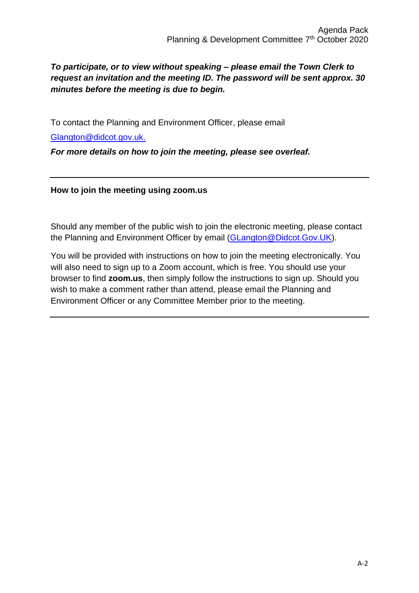#### *To participate, or to view without speaking – please email the Town Clerk to request an invitation and the meeting ID. The password will be sent approx. 30 minutes before the meeting is due to begin.*

To contact the Planning and Environment Officer, please email

[Glangton@didcot.gov.uk.](mailto:Glangton@didcot.gov.uk)

*For more details on how to join the meeting, please see overleaf.*

**How to join the meeting using zoom.us**

Should any member of the public wish to join the electronic meeting, please contact the Planning and Environment Officer by email [\(GLangton@Didcot.Gov.UK\)](mailto:GLangton@Didcot.Gov.UK).

You will be provided with instructions on how to join the meeting electronically. You will also need to sign up to a Zoom account, which is free. You should use your browser to find **zoom.us**, then simply follow the instructions to sign up. Should you wish to make a comment rather than attend, please email the Planning and Environment Officer or any Committee Member prior to the meeting.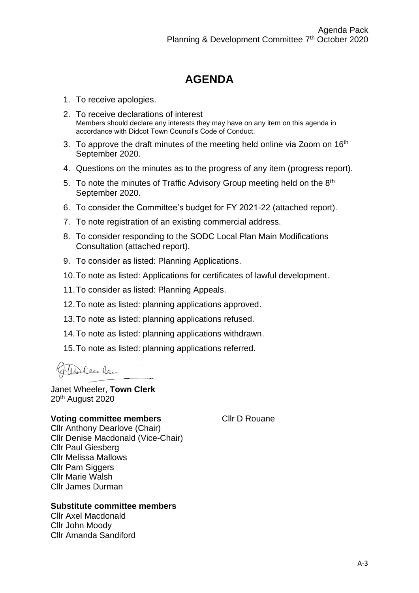## **AGENDA**

- 1. To receive apologies.
- 2. To receive declarations of interest Members should declare any interests they may have on any item on this agenda in accordance with Didcot Town Council's Code of Conduct.
- 3. To approve the draft minutes of the meeting held online via Zoom on 16<sup>th</sup> September 2020.
- 4. Questions on the minutes as to the progress of any item (progress report).
- 5. To note the minutes of Traffic Advisory Group meeting held on the 8<sup>th</sup> September 2020.
- 6. To consider the Committee's budget for FY 2021-22 (attached report).
- 7. To note registration of an existing commercial address.
- 8. To consider responding to the SODC Local Plan Main Modifications Consultation (attached report).
- 9. To consider as listed: Planning Applications.
- 10.To note as listed: Applications for certificates of lawful development.
- 11.To consider as listed: Planning Appeals.
- 12.To note as listed: planning applications approved.
- 13.To note as listed: planning applications refused.
- 14.To note as listed: planning applications withdrawn.
- 15.To note as listed: planning applications referred.

Willeeler

Janet Wheeler, **Town Clerk** 20<sup>th</sup> August 2020

#### **Voting committee members**

Cllr D Rouane

Cllr Anthony Dearlove (Chair) Cllr Denise Macdonald (Vice-Chair) Cllr Paul Giesberg Cllr Melissa Mallows Cllr Pam Siggers Cllr Marie Walsh Cllr James Durman

#### **Substitute committee members**

Cllr Axel Macdonald Cllr John Moody Cllr Amanda Sandiford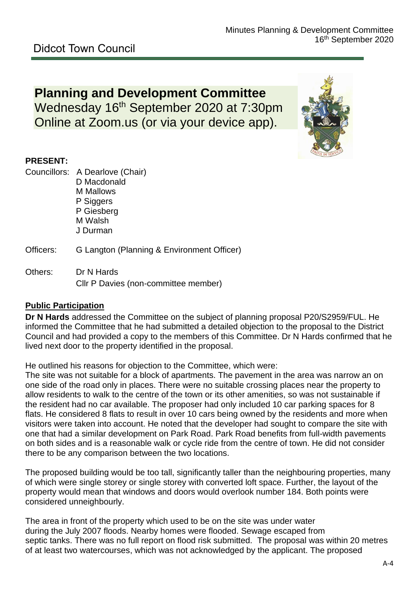# **Planning and Development Committee** Wednesday 16<sup>th</sup> September 2020 at 7:30pm Online at Zoom.us (or via your device app).



#### **PRESENT:**

- Councillors: A Dearlove (Chair) D Macdonald M Mallows P Siggers P Giesberg M Walsh J Durman
- Officers: G Langton (Planning & Environment Officer)
- Others: Dr N Hards Cllr P Davies (non-committee member)

#### **Public Participation**

**Dr N Hards** addressed the Committee on the subject of planning proposal P20/S2959/FUL. He informed the Committee that he had submitted a detailed objection to the proposal to the District Council and had provided a copy to the members of this Committee. Dr N Hards confirmed that he lived next door to the property identified in the proposal.

He outlined his reasons for objection to the Committee, which were:

The site was not suitable for a block of apartments. The pavement in the area was narrow an on one side of the road only in places. There were no suitable crossing places near the property to allow residents to walk to the centre of the town or its other amenities, so was not sustainable if the resident had no car available. The proposer had only included 10 car parking spaces for 8 flats. He considered 8 flats to result in over 10 cars being owned by the residents and more when visitors were taken into account. He noted that the developer had sought to compare the site with one that had a similar development on Park Road. Park Road benefits from full-width pavements on both sides and is a reasonable walk or cycle ride from the centre of town. He did not consider there to be any comparison between the two locations.

The proposed building would be too tall, significantly taller than the neighbouring properties, many of which were single storey or single storey with converted loft space. Further, the layout of the property would mean that windows and doors would overlook number 184. Both points were considered unneighbourly.

The area in front of the property which used to be on the site was under water during the July 2007 floods. Nearby homes were flooded. Sewage escaped from septic tanks. There was no full report on flood risk submitted. The proposal was within 20 metres of at least two watercourses, which was not acknowledged by the applicant. The proposed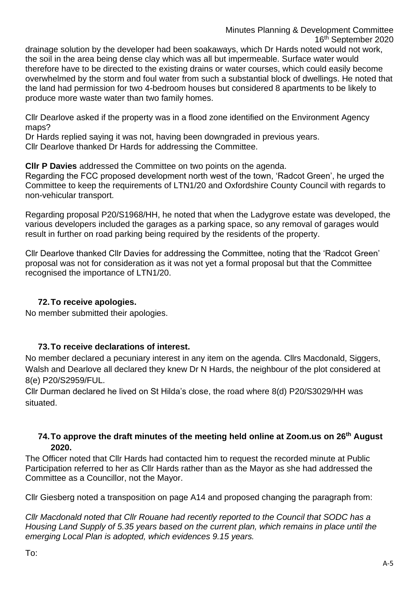# Minutes Planning & Development Committee 16th September 2020 drainage solution by the developer had been soakaways, which Dr Hards noted would not work,

the soil in the area being dense clay which was all but impermeable. Surface water would therefore have to be directed to the existing drains or water courses, which could easily become overwhelmed by the storm and foul water from such a substantial block of dwellings. He noted that the land had permission for two 4-bedroom houses but considered 8 apartments to be likely to produce more waste water than two family homes.

Cllr Dearlove asked if the property was in a flood zone identified on the Environment Agency maps?

Dr Hards replied saying it was not, having been downgraded in previous years. Cllr Dearlove thanked Dr Hards for addressing the Committee.

**Cllr P Davies** addressed the Committee on two points on the agenda.

Regarding the FCC proposed development north west of the town, 'Radcot Green', he urged the Committee to keep the requirements of LTN1/20 and Oxfordshire County Council with regards to non-vehicular transport.

Regarding proposal P20/S1968/HH, he noted that when the Ladygrove estate was developed, the various developers included the garages as a parking space, so any removal of garages would result in further on road parking being required by the residents of the property.

Cllr Dearlove thanked Cllr Davies for addressing the Committee, noting that the 'Radcot Green' proposal was not for consideration as it was not yet a formal proposal but that the Committee recognised the importance of LTN1/20.

#### **72.To receive apologies.**

No member submitted their apologies.

#### **73.To receive declarations of interest.**

No member declared a pecuniary interest in any item on the agenda. Cllrs Macdonald, Siggers, Walsh and Dearlove all declared they knew Dr N Hards, the neighbour of the plot considered at 8(e) P20/S2959/FUL.

Cllr Durman declared he lived on St Hilda's close, the road where 8(d) P20/S3029/HH was situated.

#### **74.To approve the draft minutes of the meeting held online at Zoom.us on 26th August 2020.**

The Officer noted that Cllr Hards had contacted him to request the recorded minute at Public Participation referred to her as Cllr Hards rather than as the Mayor as she had addressed the Committee as a Councillor, not the Mayor.

Cllr Giesberg noted a transposition on page A14 and proposed changing the paragraph from:

*Cllr Macdonald noted that Cllr Rouane had recently reported to the Council that SODC has a Housing Land Supply of 5.35 years based on the current plan, which remains in place until the emerging Local Plan is adopted, which evidences 9.15 years.*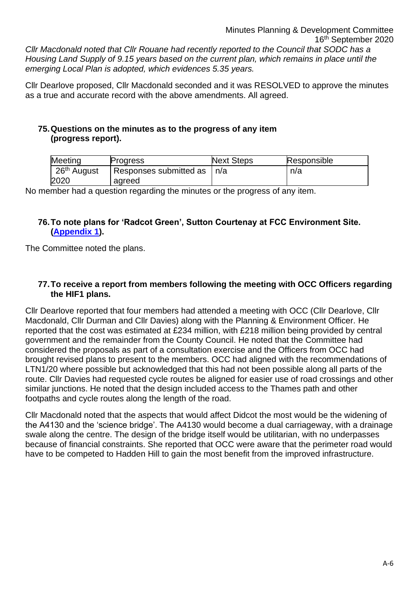Minutes Planning & Development Committee 16th September 2020 *Cllr Macdonald noted that Cllr Rouane had recently reported to the Council that SODC has a Housing Land Supply of 9.15 years based on the current plan, which remains in place until the emerging Local Plan is adopted, which evidences 5.35 years.*

Cllr Dearlove proposed, Cllr Macdonald seconded and it was RESOLVED to approve the minutes as a true and accurate record with the above amendments. All agreed.

#### **75.Questions on the minutes as to the progress of any item (progress report).**

| Meeting                             | Progress               | <b>Next Steps</b> | Responsible |
|-------------------------------------|------------------------|-------------------|-------------|
| $\frac{1}{26}$ <sup>th</sup> August | Responses submitted as | n/a               | n/a         |
| 2020                                | agreed                 |                   |             |

No member had a question regarding the minutes or the progress of any item.

#### **76.To note plans for 'Radcot Green', Sutton Courtenay at FCC Environment Site. [\(Appendix 1\)](https://www.didcot.gov.uk/uploads/20200916-app1-fcc11767-radcot-briefing-note-cv6.pdf).**

The Committee noted the plans.

#### **77.To receive a report from members following the meeting with OCC Officers regarding the HIF1 plans.**

Cllr Dearlove reported that four members had attended a meeting with OCC (Cllr Dearlove, Cllr Macdonald, Cllr Durman and Cllr Davies) along with the Planning & Environment Officer. He reported that the cost was estimated at £234 million, with £218 million being provided by central government and the remainder from the County Council. He noted that the Committee had considered the proposals as part of a consultation exercise and the Officers from OCC had brought revised plans to present to the members. OCC had aligned with the recommendations of LTN1/20 where possible but acknowledged that this had not been possible along all parts of the route. Cllr Davies had requested cycle routes be aligned for easier use of road crossings and other similar junctions. He noted that the design included access to the Thames path and other footpaths and cycle routes along the length of the road.

Cllr Macdonald noted that the aspects that would affect Didcot the most would be the widening of the A4130 and the 'science bridge'. The A4130 would become a dual carriageway, with a drainage swale along the centre. The design of the bridge itself would be utilitarian, with no underpasses because of financial constraints. She reported that OCC were aware that the perimeter road would have to be competed to Hadden Hill to gain the most benefit from the improved infrastructure.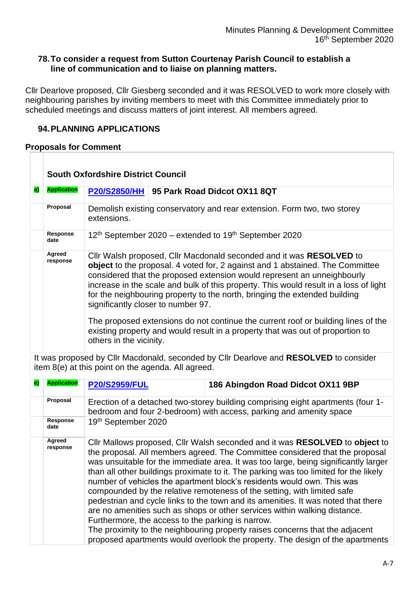#### **78.To consider a request from Sutton Courtenay Parish Council to establish a line of communication and to liaise on planning matters.**

Cllr Dearlove proposed, Cllr Giesberg seconded and it was RESOLVED to work more closely with neighbouring parishes by inviting members to meet with this Committee immediately prior to scheduled meetings and discuss matters of joint interest. All members agreed.

#### **94.PLANNING APPLICATIONS**

#### **Proposals for Comment**

|   | <b>South Oxfordshire District Council</b>                                                                                                                                                      |                                                                                                                                                                                                                                                                                                                                                                                                                                              |  |  |
|---|------------------------------------------------------------------------------------------------------------------------------------------------------------------------------------------------|----------------------------------------------------------------------------------------------------------------------------------------------------------------------------------------------------------------------------------------------------------------------------------------------------------------------------------------------------------------------------------------------------------------------------------------------|--|--|
| a | <b>Application</b>                                                                                                                                                                             | P20/S2850/HH   95 Park Road Didcot OX11 8QT                                                                                                                                                                                                                                                                                                                                                                                                  |  |  |
|   | Proposal                                                                                                                                                                                       | Demolish existing conservatory and rear extension. Form two, two storey<br>extensions.                                                                                                                                                                                                                                                                                                                                                       |  |  |
|   | Response<br>date                                                                                                                                                                               | 12 <sup>th</sup> September 2020 – extended to 19 <sup>th</sup> September 2020                                                                                                                                                                                                                                                                                                                                                                |  |  |
|   | Agreed<br>response                                                                                                                                                                             | Cllr Walsh proposed, Cllr Macdonald seconded and it was RESOLVED to<br>object to the proposal. 4 voted for, 2 against and 1 abstained. The Committee<br>considered that the proposed extension would represent an unneighbourly<br>increase in the scale and bulk of this property. This would result in a loss of light<br>for the neighbouring property to the north, bringing the extended building<br>significantly closer to number 97. |  |  |
|   | The proposed extensions do not continue the current roof or building lines of the<br>existing property and would result in a property that was out of proportion to<br>others in the vicinity. |                                                                                                                                                                                                                                                                                                                                                                                                                                              |  |  |

It was proposed by Cllr Macdonald, seconded by Cllr Dearlove and **RESOLVED** to consider item 8(e) at this point on the agenda. All agreed.

| <b>Application</b> | <b>P20/S2959/FUL</b>                                                                                                                                  | 186 Abingdon Road Didcot OX11 9BP                                                                                                                                                                                                                                                                                                                                                                                                                                                                                                                                                                                                                                                                                                                                                                                                  |  |
|--------------------|-------------------------------------------------------------------------------------------------------------------------------------------------------|------------------------------------------------------------------------------------------------------------------------------------------------------------------------------------------------------------------------------------------------------------------------------------------------------------------------------------------------------------------------------------------------------------------------------------------------------------------------------------------------------------------------------------------------------------------------------------------------------------------------------------------------------------------------------------------------------------------------------------------------------------------------------------------------------------------------------------|--|
| Proposal           | Erection of a detached two-storey building comprising eight apartments (four 1-<br>bedroom and four 2-bedroom) with access, parking and amenity space |                                                                                                                                                                                                                                                                                                                                                                                                                                                                                                                                                                                                                                                                                                                                                                                                                                    |  |
| Response<br>date   | 19th September 2020                                                                                                                                   |                                                                                                                                                                                                                                                                                                                                                                                                                                                                                                                                                                                                                                                                                                                                                                                                                                    |  |
| Agreed<br>response | Furthermore, the access to the parking is narrow.                                                                                                     | Cllr Mallows proposed, Cllr Walsh seconded and it was RESOLVED to object to<br>the proposal. All members agreed. The Committee considered that the proposal<br>was unsuitable for the immediate area. It was too large, being significantly larger<br>than all other buildings proximate to it. The parking was too limited for the likely<br>number of vehicles the apartment block's residents would own. This was<br>compounded by the relative remoteness of the setting, with limited safe<br>pedestrian and cycle links to the town and its amenities. It was noted that there<br>are no amenities such as shops or other services within walking distance.<br>The proximity to the neighbouring property raises concerns that the adjacent<br>proposed apartments would overlook the property. The design of the apartments |  |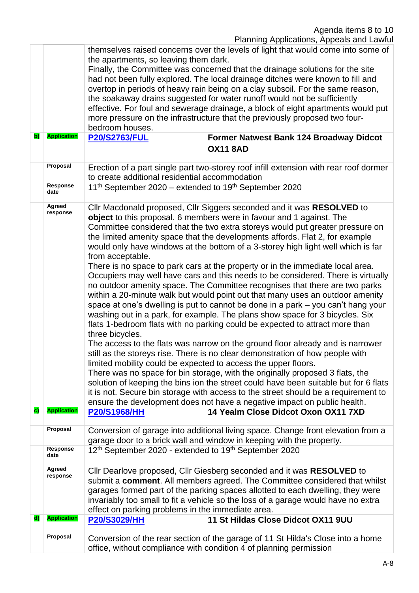| b)           | <b>Application</b>             | themselves raised concerns over the levels of light that would come into some of<br>the apartments, so leaving them dark.<br>Finally, the Committee was concerned that the drainage solutions for the site<br>had not been fully explored. The local drainage ditches were known to fill and<br>overtop in periods of heavy rain being on a clay subsoil. For the same reason,<br>the soakaway drains suggested for water runoff would not be sufficiently<br>effective. For foul and sewerage drainage, a block of eight apartments would put<br>more pressure on the infrastructure that the previously proposed two four-<br>bedroom houses.<br><b>P20/S2763/FUL</b><br>Former Natwest Bank 124 Broadway Didcot |                                                                                                                                                                                                                                                                                                                                                                                                                                                                                                                                                                                                                                                                                                                                                                                                                                                                                                                                                                                                                                                                                                                                                                                                                                                                                                                                                                                                                                                                                                  |  |  |
|--------------|--------------------------------|--------------------------------------------------------------------------------------------------------------------------------------------------------------------------------------------------------------------------------------------------------------------------------------------------------------------------------------------------------------------------------------------------------------------------------------------------------------------------------------------------------------------------------------------------------------------------------------------------------------------------------------------------------------------------------------------------------------------|--------------------------------------------------------------------------------------------------------------------------------------------------------------------------------------------------------------------------------------------------------------------------------------------------------------------------------------------------------------------------------------------------------------------------------------------------------------------------------------------------------------------------------------------------------------------------------------------------------------------------------------------------------------------------------------------------------------------------------------------------------------------------------------------------------------------------------------------------------------------------------------------------------------------------------------------------------------------------------------------------------------------------------------------------------------------------------------------------------------------------------------------------------------------------------------------------------------------------------------------------------------------------------------------------------------------------------------------------------------------------------------------------------------------------------------------------------------------------------------------------|--|--|
|              |                                |                                                                                                                                                                                                                                                                                                                                                                                                                                                                                                                                                                                                                                                                                                                    | <b>OX11 8AD</b>                                                                                                                                                                                                                                                                                                                                                                                                                                                                                                                                                                                                                                                                                                                                                                                                                                                                                                                                                                                                                                                                                                                                                                                                                                                                                                                                                                                                                                                                                  |  |  |
|              | Proposal                       | to create additional residential accommodation                                                                                                                                                                                                                                                                                                                                                                                                                                                                                                                                                                                                                                                                     | Erection of a part single part two-storey roof infill extension with rear roof dormer                                                                                                                                                                                                                                                                                                                                                                                                                                                                                                                                                                                                                                                                                                                                                                                                                                                                                                                                                                                                                                                                                                                                                                                                                                                                                                                                                                                                            |  |  |
|              | Response<br>date               | 11 <sup>th</sup> September 2020 – extended to 19 <sup>th</sup> September 2020                                                                                                                                                                                                                                                                                                                                                                                                                                                                                                                                                                                                                                      |                                                                                                                                                                                                                                                                                                                                                                                                                                                                                                                                                                                                                                                                                                                                                                                                                                                                                                                                                                                                                                                                                                                                                                                                                                                                                                                                                                                                                                                                                                  |  |  |
|              | Agreed<br>response             | from acceptable.<br>three bicycles.<br>ensure the development does not have a negative impact on public health.                                                                                                                                                                                                                                                                                                                                                                                                                                                                                                                                                                                                    | Cllr Macdonald proposed, Cllr Siggers seconded and it was RESOLVED to<br>object to this proposal. 6 members were in favour and 1 against. The<br>Committee considered that the two extra storeys would put greater pressure on<br>the limited amenity space that the developments affords. Flat 2, for example<br>would only have windows at the bottom of a 3-storey high light well which is far<br>There is no space to park cars at the property or in the immediate local area.<br>Occupiers may well have cars and this needs to be considered. There is virtually<br>no outdoor amenity space. The Committee recognises that there are two parks<br>within a 20-minute walk but would point out that many uses an outdoor amenity<br>space at one's dwelling is put to cannot be done in a park - you can't hang your<br>washing out in a park, for example. The plans show space for 3 bicycles. Six<br>flats 1-bedroom flats with no parking could be expected to attract more than<br>The access to the flats was narrow on the ground floor already and is narrower<br>still as the storeys rise. There is no clear demonstration of how people with<br>limited mobility could be expected to access the upper floors.<br>There was no space for bin storage, with the originally proposed 3 flats, the<br>solution of keeping the bins ion the street could have been suitable but for 6 flats<br>it is not. Secure bin storage with access to the street should be a requirement to |  |  |
| C)           | <b>Application</b><br>Proposal | <b>P20/S1968/HH</b>                                                                                                                                                                                                                                                                                                                                                                                                                                                                                                                                                                                                                                                                                                | 14 Yealm Close Didcot Oxon OX11 7XD                                                                                                                                                                                                                                                                                                                                                                                                                                                                                                                                                                                                                                                                                                                                                                                                                                                                                                                                                                                                                                                                                                                                                                                                                                                                                                                                                                                                                                                              |  |  |
|              | Response                       | Conversion of garage into additional living space. Change front elevation from a<br>garage door to a brick wall and window in keeping with the property.                                                                                                                                                                                                                                                                                                                                                                                                                                                                                                                                                           |                                                                                                                                                                                                                                                                                                                                                                                                                                                                                                                                                                                                                                                                                                                                                                                                                                                                                                                                                                                                                                                                                                                                                                                                                                                                                                                                                                                                                                                                                                  |  |  |
|              | date                           | 12 <sup>th</sup> September 2020 - extended to 19 <sup>th</sup> September 2020                                                                                                                                                                                                                                                                                                                                                                                                                                                                                                                                                                                                                                      |                                                                                                                                                                                                                                                                                                                                                                                                                                                                                                                                                                                                                                                                                                                                                                                                                                                                                                                                                                                                                                                                                                                                                                                                                                                                                                                                                                                                                                                                                                  |  |  |
|              | Agreed<br>response             | Cllr Dearlove proposed, Cllr Giesberg seconded and it was RESOLVED to<br>submit a comment. All members agreed. The Committee considered that whilst<br>garages formed part of the parking spaces allotted to each dwelling, they were<br>invariably too small to fit a vehicle so the loss of a garage would have no extra<br>effect on parking problems in the immediate area.                                                                                                                                                                                                                                                                                                                                    |                                                                                                                                                                                                                                                                                                                                                                                                                                                                                                                                                                                                                                                                                                                                                                                                                                                                                                                                                                                                                                                                                                                                                                                                                                                                                                                                                                                                                                                                                                  |  |  |
| $\mathbf{d}$ | <b>Application</b>             | <b>P20/S3029/HH</b>                                                                                                                                                                                                                                                                                                                                                                                                                                                                                                                                                                                                                                                                                                | 11 St Hildas Close Didcot OX11 9UU                                                                                                                                                                                                                                                                                                                                                                                                                                                                                                                                                                                                                                                                                                                                                                                                                                                                                                                                                                                                                                                                                                                                                                                                                                                                                                                                                                                                                                                               |  |  |
|              | Proposal                       | Conversion of the rear section of the garage of 11 St Hilda's Close into a home<br>office, without compliance with condition 4 of planning permission                                                                                                                                                                                                                                                                                                                                                                                                                                                                                                                                                              |                                                                                                                                                                                                                                                                                                                                                                                                                                                                                                                                                                                                                                                                                                                                                                                                                                                                                                                                                                                                                                                                                                                                                                                                                                                                                                                                                                                                                                                                                                  |  |  |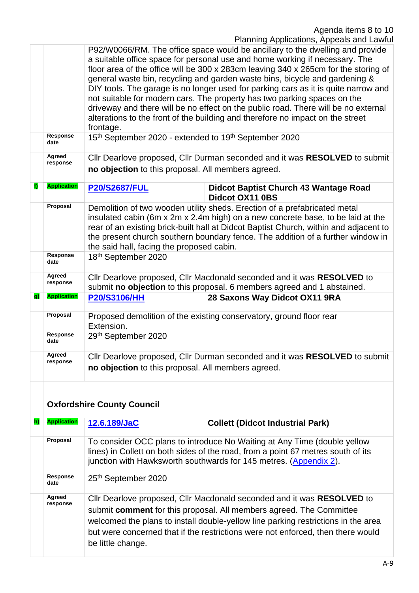|    |                         | P92/W0066/RM. The office space would be ancillary to the dwelling and provide<br>a suitable office space for personal use and home working if necessary. The<br>floor area of the office will be 300 x 283cm leaving 340 x 265cm for the storing of<br>general waste bin, recycling and garden waste bins, bicycle and gardening &<br>DIY tools. The garage is no longer used for parking cars as it is quite narrow and<br>not suitable for modern cars. The property has two parking spaces on the<br>driveway and there will be no effect on the public road. There will be no external<br>alterations to the front of the building and therefore no impact on the street<br>frontage. |  |  |
|----|-------------------------|-------------------------------------------------------------------------------------------------------------------------------------------------------------------------------------------------------------------------------------------------------------------------------------------------------------------------------------------------------------------------------------------------------------------------------------------------------------------------------------------------------------------------------------------------------------------------------------------------------------------------------------------------------------------------------------------|--|--|
|    | <b>Response</b><br>date | 15th September 2020 - extended to 19th September 2020                                                                                                                                                                                                                                                                                                                                                                                                                                                                                                                                                                                                                                     |  |  |
|    | Agreed<br>response      | Cllr Dearlove proposed, Cllr Durman seconded and it was RESOLVED to submit<br>no objection to this proposal. All members agreed.                                                                                                                                                                                                                                                                                                                                                                                                                                                                                                                                                          |  |  |
| f) | <b>Application</b>      | <b>P20/S2687/FUL</b><br><b>Didcot Baptist Church 43 Wantage Road</b><br><b>Didcot OX11 0BS</b>                                                                                                                                                                                                                                                                                                                                                                                                                                                                                                                                                                                            |  |  |
|    | Proposal                | Demolition of two wooden utility sheds. Erection of a prefabricated metal<br>insulated cabin (6m x 2m x 2.4m high) on a new concrete base, to be laid at the<br>rear of an existing brick-built hall at Didcot Baptist Church, within and adjacent to<br>the present church southern boundary fence. The addition of a further window in<br>the said hall, facing the proposed cabin.                                                                                                                                                                                                                                                                                                     |  |  |
|    | Response<br>date        | 18th September 2020                                                                                                                                                                                                                                                                                                                                                                                                                                                                                                                                                                                                                                                                       |  |  |
|    | Agreed<br>response      | Cllr Dearlove proposed, Cllr Macdonald seconded and it was RESOLVED to<br>submit no objection to this proposal. 6 members agreed and 1 abstained.                                                                                                                                                                                                                                                                                                                                                                                                                                                                                                                                         |  |  |
| g) | <b>Application</b>      | 28 Saxons Way Didcot OX11 9RA<br><b>P20/S3106/HH</b>                                                                                                                                                                                                                                                                                                                                                                                                                                                                                                                                                                                                                                      |  |  |
|    | Proposal                | Proposed demolition of the existing conservatory, ground floor rear<br>Extension.                                                                                                                                                                                                                                                                                                                                                                                                                                                                                                                                                                                                         |  |  |
|    | <b>Response</b><br>date | 29th September 2020                                                                                                                                                                                                                                                                                                                                                                                                                                                                                                                                                                                                                                                                       |  |  |
|    | Agreed<br>response      | Cllr Dearlove proposed, Cllr Durman seconded and it was RESOLVED to submit<br>no objection to this proposal. All members agreed.                                                                                                                                                                                                                                                                                                                                                                                                                                                                                                                                                          |  |  |

# **Oxfordshire County Council**

| h) | <b>Application</b> | 12.6.189/JaC                                                                                                                                                                                                                                                                                                                               | <b>Collett (Didcot Industrial Park)</b> |  |
|----|--------------------|--------------------------------------------------------------------------------------------------------------------------------------------------------------------------------------------------------------------------------------------------------------------------------------------------------------------------------------------|-----------------------------------------|--|
|    | Proposal           | To consider OCC plans to introduce No Waiting at Any Time (double yellow<br>lines) in Collett on both sides of the road, from a point 67 metres south of its<br>junction with Hawksworth southwards for 145 metres. (Appendix 2).                                                                                                          |                                         |  |
|    | Response<br>date   | 25th September 2020                                                                                                                                                                                                                                                                                                                        |                                         |  |
|    | Agreed<br>response | Cllr Dearlove proposed, Cllr Macdonald seconded and it was RESOLVED to<br>submit comment for this proposal. All members agreed. The Committee<br>welcomed the plans to install double-yellow line parking restrictions in the area<br>but were concerned that if the restrictions were not enforced, then there would<br>be little change. |                                         |  |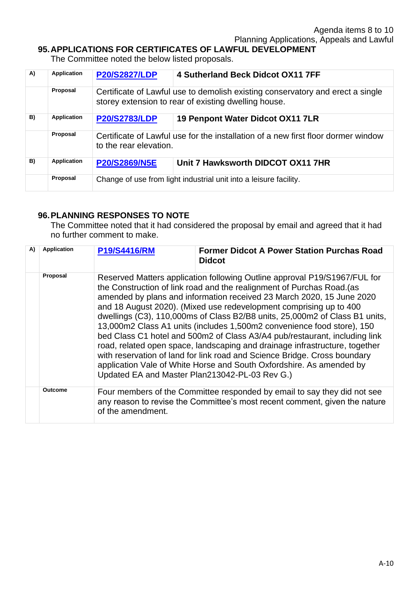#### **95.APPLICATIONS FOR CERTIFICATES OF LAWFUL DEVELOPMENT**

The Committee noted the below listed proposals.

| A) | <b>Application</b> | <b>P20/S2827/LDP</b>   | 4 Sutherland Beck Didcot OX11 7FF                                                                                                      |
|----|--------------------|------------------------|----------------------------------------------------------------------------------------------------------------------------------------|
|    | Proposal           |                        | Certificate of Lawful use to demolish existing conservatory and erect a single<br>storey extension to rear of existing dwelling house. |
| B) | <b>Application</b> | <b>P20/S2783/LDP</b>   | 19 Penpont Water Didcot OX11 7LR                                                                                                       |
|    | Proposal           | to the rear elevation. | Certificate of Lawful use for the installation of a new first floor dormer window                                                      |
| B) | <b>Application</b> | <b>P20/S2869/N5E</b>   | Unit 7 Hawksworth DIDCOT OX11 7HR                                                                                                      |
|    | Proposal           |                        | Change of use from light industrial unit into a leisure facility.                                                                      |

#### **96.PLANNING RESPONSES TO NOTE**

The Committee noted that it had considered the proposal by email and agreed that it had no further comment to make.

| A) | <b>Application</b> | <b>P19/S4416/RM</b>                            | <b>Former Didcot A Power Station Purchas Road</b><br><b>Didcot</b>                                                                                                                                                                                                                                                                                                                                                                                                                                                                                                                                                                                                                                                                                                            |
|----|--------------------|------------------------------------------------|-------------------------------------------------------------------------------------------------------------------------------------------------------------------------------------------------------------------------------------------------------------------------------------------------------------------------------------------------------------------------------------------------------------------------------------------------------------------------------------------------------------------------------------------------------------------------------------------------------------------------------------------------------------------------------------------------------------------------------------------------------------------------------|
|    | Proposal           | Updated EA and Master Plan213042-PL-03 Rev G.) | Reserved Matters application following Outline approval P19/S1967/FUL for<br>the Construction of link road and the realignment of Purchas Road. (as<br>amended by plans and information received 23 March 2020, 15 June 2020<br>and 18 August 2020). (Mixed use redevelopment comprising up to 400<br>dwellings (C3), 110,000ms of Class B2/B8 units, 25,000m2 of Class B1 units,<br>13,000m2 Class A1 units (includes 1,500m2 convenience food store), 150<br>bed Class C1 hotel and 500m2 of Class A3/A4 pub/restaurant, including link<br>road, related open space, landscaping and drainage infrastructure, together<br>with reservation of land for link road and Science Bridge. Cross boundary<br>application Vale of White Horse and South Oxfordshire. As amended by |
|    | Outcome            | of the amendment.                              | Four members of the Committee responded by email to say they did not see<br>any reason to revise the Committee's most recent comment, given the nature                                                                                                                                                                                                                                                                                                                                                                                                                                                                                                                                                                                                                        |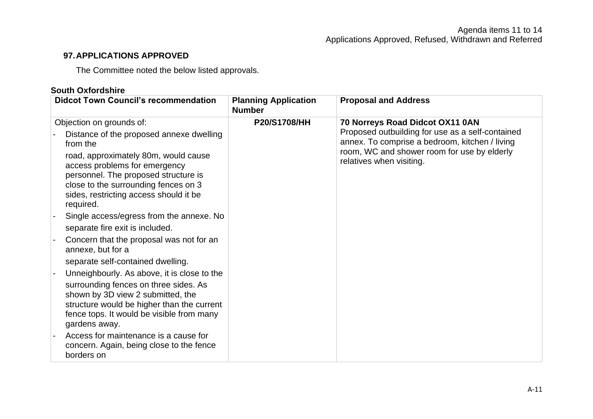#### **97.APPLICATIONS APPROVED**

The Committee noted the below listed approvals.

#### **South Oxfordshire**

| <b>Didcot Town Council's recommendation</b>                                                                                                                                                                                                                                                      | <b>Planning Application</b><br><b>Number</b> | <b>Proposal and Address</b>                                                                                                                                                                                      |
|--------------------------------------------------------------------------------------------------------------------------------------------------------------------------------------------------------------------------------------------------------------------------------------------------|----------------------------------------------|------------------------------------------------------------------------------------------------------------------------------------------------------------------------------------------------------------------|
| Objection on grounds of:<br>Distance of the proposed annexe dwelling<br>from the<br>road, approximately 80m, would cause<br>access problems for emergency<br>personnel. The proposed structure is<br>close to the surrounding fences on 3<br>sides, restricting access should it be<br>required. | <b>P20/S1708/HH</b>                          | 70 Norreys Road Didcot OX11 0AN<br>Proposed outbuilding for use as a self-contained<br>annex. To comprise a bedroom, kitchen / living<br>room, WC and shower room for use by elderly<br>relatives when visiting. |
| Single access/egress from the annexe. No<br>separate fire exit is included.                                                                                                                                                                                                                      |                                              |                                                                                                                                                                                                                  |
| Concern that the proposal was not for an<br>annexe, but for a                                                                                                                                                                                                                                    |                                              |                                                                                                                                                                                                                  |
| separate self-contained dwelling.<br>Unneighbourly. As above, it is close to the<br>surrounding fences on three sides. As<br>shown by 3D view 2 submitted, the<br>structure would be higher than the current<br>fence tops. It would be visible from many<br>gardens away.                       |                                              |                                                                                                                                                                                                                  |
| Access for maintenance is a cause for<br>concern. Again, being close to the fence<br>borders on                                                                                                                                                                                                  |                                              |                                                                                                                                                                                                                  |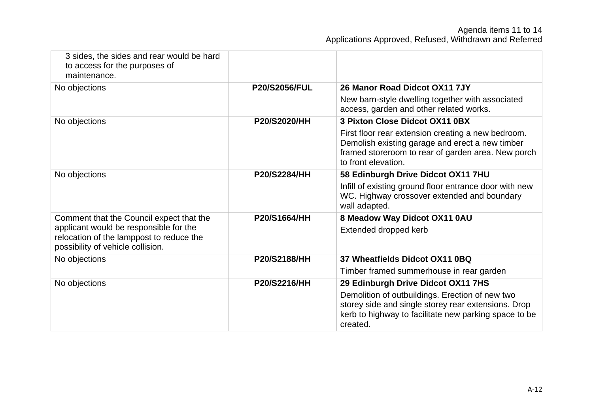| 3 sides, the sides and rear would be hard<br>to access for the purposes of<br>maintenance.                              |                      |                                                                                                                                                                                    |
|-------------------------------------------------------------------------------------------------------------------------|----------------------|------------------------------------------------------------------------------------------------------------------------------------------------------------------------------------|
| No objections                                                                                                           | <b>P20/S2056/FUL</b> | 26 Manor Road Didcot OX11 7JY                                                                                                                                                      |
|                                                                                                                         |                      | New barn-style dwelling together with associated<br>access, garden and other related works.                                                                                        |
| No objections                                                                                                           | <b>P20/S2020/HH</b>  | 3 Pixton Close Didcot OX11 0BX                                                                                                                                                     |
|                                                                                                                         |                      | First floor rear extension creating a new bedroom.<br>Demolish existing garage and erect a new timber<br>framed storeroom to rear of garden area. New porch<br>to front elevation. |
| No objections                                                                                                           | <b>P20/S2284/HH</b>  | 58 Edinburgh Drive Didcot OX11 7HU                                                                                                                                                 |
|                                                                                                                         |                      | Infill of existing ground floor entrance door with new<br>WC. Highway crossover extended and boundary<br>wall adapted.                                                             |
| Comment that the Council expect that the                                                                                | P20/S1664/HH         | 8 Meadow Way Didcot OX11 0AU                                                                                                                                                       |
| applicant would be responsible for the<br>relocation of the lamppost to reduce the<br>possibility of vehicle collision. |                      | Extended dropped kerb                                                                                                                                                              |
| No objections                                                                                                           | P20/S2188/HH         | 37 Wheatfields Didcot OX11 0BQ                                                                                                                                                     |
|                                                                                                                         |                      | Timber framed summerhouse in rear garden                                                                                                                                           |
| No objections                                                                                                           | P20/S2216/HH         | 29 Edinburgh Drive Didcot OX11 7HS                                                                                                                                                 |
|                                                                                                                         |                      | Demolition of outbuildings. Erection of new two<br>storey side and single storey rear extensions. Drop<br>kerb to highway to facilitate new parking space to be<br>created.        |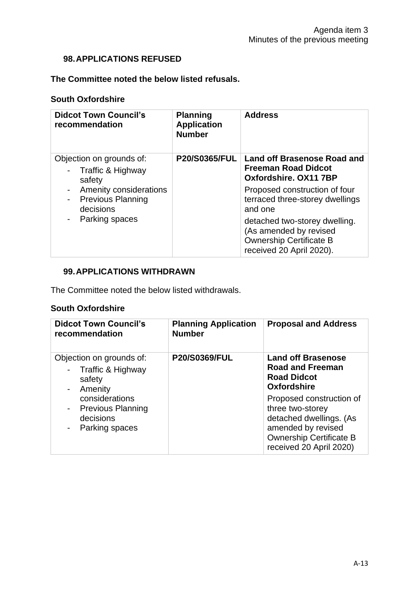#### **98.APPLICATIONS REFUSED**

#### **The Committee noted the below listed refusals.**

#### **South Oxfordshire**

| <b>Didcot Town Council's</b><br>recommendation                  | <b>Planning</b><br><b>Application</b><br><b>Number</b> | <b>Address</b>                                                                                                        |
|-----------------------------------------------------------------|--------------------------------------------------------|-----------------------------------------------------------------------------------------------------------------------|
| Objection on grounds of:<br>Traffic & Highway<br>safety         | <b>P20/S0365/FUL</b>                                   | <b>Land off Brasenose Road and</b><br><b>Freeman Road Didcot</b><br>Oxfordshire, OX11 7BP                             |
| Amenity considerations<br><b>Previous Planning</b><br>decisions |                                                        | Proposed construction of four<br>terraced three-storey dwellings<br>and one                                           |
| Parking spaces                                                  |                                                        | detached two-storey dwelling.<br>(As amended by revised<br><b>Ownership Certificate B</b><br>received 20 April 2020). |

#### **99.APPLICATIONS WITHDRAWN**

The Committee noted the below listed withdrawals.

#### **South Oxfordshire**

| <b>Didcot Town Council's</b><br>recommendation                            | <b>Planning Application</b><br><b>Number</b> | <b>Proposal and Address</b>                                                                                                                                |
|---------------------------------------------------------------------------|----------------------------------------------|------------------------------------------------------------------------------------------------------------------------------------------------------------|
| Objection on grounds of:<br>Traffic & Highway<br>safety<br>Amenity        | <b>P20/S0369/FUL</b>                         | <b>Land off Brasenose</b><br><b>Road and Freeman</b><br><b>Road Didcot</b><br>Oxfordshire                                                                  |
| considerations<br><b>Previous Planning</b><br>decisions<br>Parking spaces |                                              | Proposed construction of<br>three two-storey<br>detached dwellings. (As<br>amended by revised<br><b>Ownership Certificate B</b><br>received 20 April 2020) |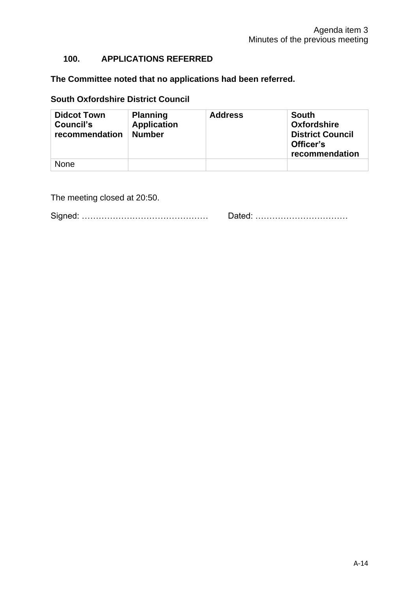#### **100. APPLICATIONS REFERRED**

**The Committee noted that no applications had been referred.**

#### **South Oxfordshire District Council**

| <b>Didcot Town</b><br>Council's<br>recommendation | <b>Planning</b><br><b>Application</b><br><b>Number</b> | <b>Address</b> | <b>South</b><br><b>Oxfordshire</b><br><b>District Council</b><br>Officer's<br>recommendation |
|---------------------------------------------------|--------------------------------------------------------|----------------|----------------------------------------------------------------------------------------------|
| <b>None</b>                                       |                                                        |                |                                                                                              |

The meeting closed at 20:50.

Signed: ……………………………………… Dated: ……………………………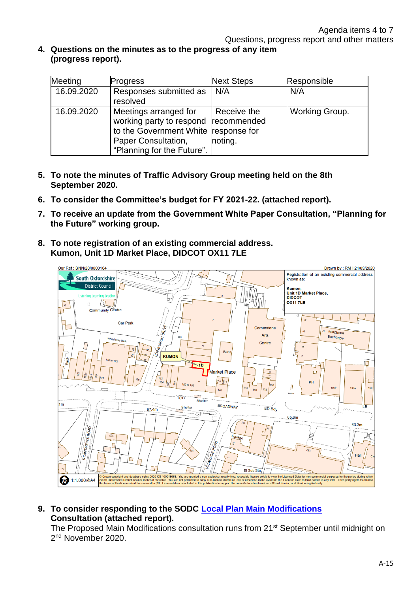**4. Questions on the minutes as to the progress of any item (progress report).**

| Meeting    | Progress                                                                                                                                                   | <b>Next Steps</b>      | Responsible    |
|------------|------------------------------------------------------------------------------------------------------------------------------------------------------------|------------------------|----------------|
| 16.09.2020 | Responses submitted as<br>resolved                                                                                                                         | N/A                    | N/A            |
| 16.09.2020 | Meetings arranged for<br>working party to respond recommended<br>to the Government White response for<br>Paper Consultation,<br>"Planning for the Future". | Receive the<br>noting. | Working Group. |

- **5. To note the minutes of Traffic Advisory Group meeting held on the 8th September 2020.**
- **6. To consider the Committee's budget for FY 2021-22. (attached report).**
- **7. To receive an update from the Government White Paper Consultation, "Planning for the Future" working group.**
- **8. To note registration of an existing commercial address. Kumon, Unit 1D Market Place, DIDCOT OX11 7LE**



**9. To consider responding to the SODC [Local Plan Main Modifications](support:%20Pitched%20roofs%20improve%20the%20street%20scene.%09P20/S2420/HH%09Remove%20concrete%20flat%20roof%20on%20garage,%20replace%20with%20pitched%20roof.) Consultation (attached report).**

The Proposed Main Modifications consultation runs from 21<sup>st</sup> September until midnight on 2<sup>nd</sup> November 2020.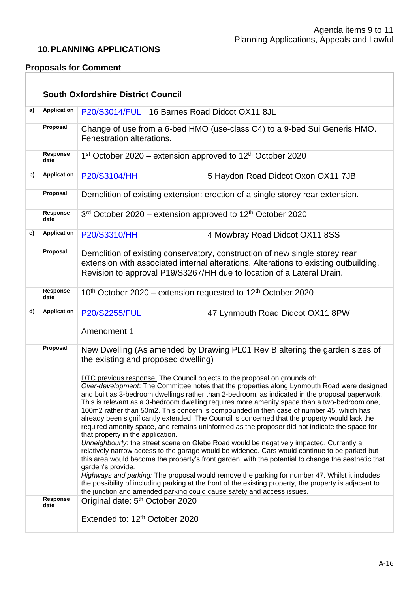#### **10.PLANNING APPLICATIONS**

#### **Proposals for Comment**

|    |                                     | <b>South Oxfordshire District Council</b>                                                                                                                                                                                                                                                                                                                                                                                                                                                                                                                                                                                                                                                                                                                                                                                                                                                                                                                                                                                                                                                                                                                                                                                                                                                                                                                                                                                                                                                         |                                                                               |  |
|----|-------------------------------------|---------------------------------------------------------------------------------------------------------------------------------------------------------------------------------------------------------------------------------------------------------------------------------------------------------------------------------------------------------------------------------------------------------------------------------------------------------------------------------------------------------------------------------------------------------------------------------------------------------------------------------------------------------------------------------------------------------------------------------------------------------------------------------------------------------------------------------------------------------------------------------------------------------------------------------------------------------------------------------------------------------------------------------------------------------------------------------------------------------------------------------------------------------------------------------------------------------------------------------------------------------------------------------------------------------------------------------------------------------------------------------------------------------------------------------------------------------------------------------------------------|-------------------------------------------------------------------------------|--|
| a) | <b>Application</b>                  | 16 Barnes Road Didcot OX11 8JL<br>P20/S3014/FUL                                                                                                                                                                                                                                                                                                                                                                                                                                                                                                                                                                                                                                                                                                                                                                                                                                                                                                                                                                                                                                                                                                                                                                                                                                                                                                                                                                                                                                                   |                                                                               |  |
|    | Proposal                            | Fenestration alterations.                                                                                                                                                                                                                                                                                                                                                                                                                                                                                                                                                                                                                                                                                                                                                                                                                                                                                                                                                                                                                                                                                                                                                                                                                                                                                                                                                                                                                                                                         | Change of use from a 6-bed HMO (use-class C4) to a 9-bed Sui Generis HMO.     |  |
|    | Response<br>date                    | 1st October 2020 – extension approved to 12 <sup>th</sup> October 2020                                                                                                                                                                                                                                                                                                                                                                                                                                                                                                                                                                                                                                                                                                                                                                                                                                                                                                                                                                                                                                                                                                                                                                                                                                                                                                                                                                                                                            |                                                                               |  |
| b) | <b>Application</b>                  | P20/S3104/HH                                                                                                                                                                                                                                                                                                                                                                                                                                                                                                                                                                                                                                                                                                                                                                                                                                                                                                                                                                                                                                                                                                                                                                                                                                                                                                                                                                                                                                                                                      | 5 Haydon Road Didcot Oxon OX11 7JB                                            |  |
|    | Proposal                            |                                                                                                                                                                                                                                                                                                                                                                                                                                                                                                                                                                                                                                                                                                                                                                                                                                                                                                                                                                                                                                                                                                                                                                                                                                                                                                                                                                                                                                                                                                   | Demolition of existing extension: erection of a single storey rear extension. |  |
|    | Response<br>date                    | $3rd$ October 2020 – extension approved to 12 <sup>th</sup> October 2020                                                                                                                                                                                                                                                                                                                                                                                                                                                                                                                                                                                                                                                                                                                                                                                                                                                                                                                                                                                                                                                                                                                                                                                                                                                                                                                                                                                                                          |                                                                               |  |
| c) | <b>Application</b>                  | P20/S3310/HH                                                                                                                                                                                                                                                                                                                                                                                                                                                                                                                                                                                                                                                                                                                                                                                                                                                                                                                                                                                                                                                                                                                                                                                                                                                                                                                                                                                                                                                                                      | 4 Mowbray Road Didcot OX11 8SS                                                |  |
|    | Proposal                            | Demolition of existing conservatory, construction of new single storey rear<br>extension with associated internal alterations. Alterations to existing outbuilding.<br>Revision to approval P19/S3267/HH due to location of a Lateral Drain.                                                                                                                                                                                                                                                                                                                                                                                                                                                                                                                                                                                                                                                                                                                                                                                                                                                                                                                                                                                                                                                                                                                                                                                                                                                      |                                                                               |  |
|    | Response<br>date                    | 10 <sup>th</sup> October 2020 – extension requested to 12 <sup>th</sup> October 2020                                                                                                                                                                                                                                                                                                                                                                                                                                                                                                                                                                                                                                                                                                                                                                                                                                                                                                                                                                                                                                                                                                                                                                                                                                                                                                                                                                                                              |                                                                               |  |
| d) | <b>Application</b>                  | <b>P20/S2255/FUL</b><br>Amendment 1                                                                                                                                                                                                                                                                                                                                                                                                                                                                                                                                                                                                                                                                                                                                                                                                                                                                                                                                                                                                                                                                                                                                                                                                                                                                                                                                                                                                                                                               | 47 Lynmouth Road Didcot OX11 8PW                                              |  |
|    | Proposal<br><b>Response</b><br>date | New Dwelling (As amended by Drawing PL01 Rev B altering the garden sizes of<br>the existing and proposed dwelling)<br>DTC previous response: The Council objects to the proposal on grounds of:<br>Over-development: The Committee notes that the properties along Lynmouth Road were designed<br>and built as 3-bedroom dwellings rather than 2-bedroom, as indicated in the proposal paperwork.<br>This is relevant as a 3-bedroom dwelling requires more amenity space than a two-bedroom one,<br>100m2 rather than 50m2. This concern is compounded in then case of number 45, which has<br>already been significantly extended. The Council is concerned that the property would lack the<br>required amenity space, and remains uninformed as the proposer did not indicate the space for<br>that property in the application.<br>Unneighbourly: the street scene on Glebe Road would be negatively impacted. Currently a<br>relatively narrow access to the garage would be widened. Cars would continue to be parked but<br>this area would become the property's front garden, with the potential to change the aesthetic that<br>garden's provide.<br>Highways and parking: The proposal would remove the parking for number 47. Whilst it includes<br>the possibility of including parking at the front of the existing property, the property is adjacent to<br>the junction and amended parking could cause safety and access issues.<br>Original date: 5 <sup>th</sup> October 2020 |                                                                               |  |
|    |                                     | Extended to: 12 <sup>th</sup> October 2020                                                                                                                                                                                                                                                                                                                                                                                                                                                                                                                                                                                                                                                                                                                                                                                                                                                                                                                                                                                                                                                                                                                                                                                                                                                                                                                                                                                                                                                        |                                                                               |  |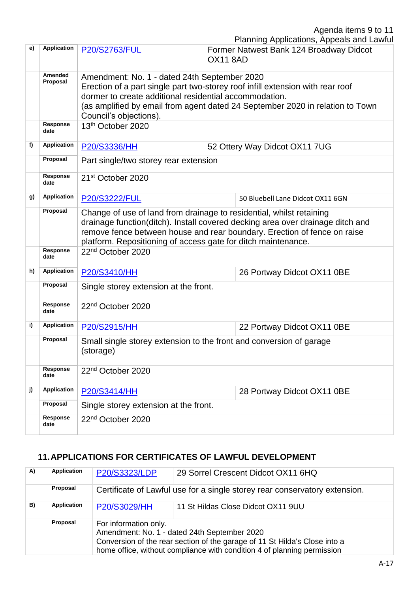Agenda items 9 to 11

|    |                         |                                                                                                                                                                                                                                                                                                     | Planning Applications, Appeals and Lawful                  |  |
|----|-------------------------|-----------------------------------------------------------------------------------------------------------------------------------------------------------------------------------------------------------------------------------------------------------------------------------------------------|------------------------------------------------------------|--|
| e) | Application             | <b>P20/S2763/FUL</b>                                                                                                                                                                                                                                                                                | Former Natwest Bank 124 Broadway Didcot<br><b>OX11 8AD</b> |  |
|    | Amended<br>Proposal     | Amendment: No. 1 - dated 24th September 2020<br>Erection of a part single part two-storey roof infill extension with rear roof<br>dormer to create additional residential accommodation.<br>(as amplified by email from agent dated 24 September 2020 in relation to Town<br>Council's objections). |                                                            |  |
|    | Response<br>date        | 13 <sup>th</sup> October 2020                                                                                                                                                                                                                                                                       |                                                            |  |
| f) | Application             | P20/S3336/HH                                                                                                                                                                                                                                                                                        | 52 Ottery Way Didcot OX11 7UG                              |  |
|    | Proposal                | Part single/two storey rear extension                                                                                                                                                                                                                                                               |                                                            |  |
|    | <b>Response</b><br>date | 21 <sup>st</sup> October 2020                                                                                                                                                                                                                                                                       |                                                            |  |
| g) | <b>Application</b>      | P20/S3222/FUL                                                                                                                                                                                                                                                                                       | 50 Bluebell Lane Didcot OX11 6GN                           |  |
|    | Proposal                | Change of use of land from drainage to residential, whilst retaining<br>drainage function(ditch). Install covered decking area over drainage ditch and<br>remove fence between house and rear boundary. Erection of fence on raise<br>platform. Repositioning of access gate for ditch maintenance. |                                                            |  |
|    | <b>Response</b><br>date | 22 <sup>nd</sup> October 2020                                                                                                                                                                                                                                                                       |                                                            |  |
| h) | <b>Application</b>      | P20/S3410/HH                                                                                                                                                                                                                                                                                        | 26 Portway Didcot OX11 0BE                                 |  |
|    | Proposal                | Single storey extension at the front.                                                                                                                                                                                                                                                               |                                                            |  |
|    | <b>Response</b><br>date | 22 <sup>nd</sup> October 2020                                                                                                                                                                                                                                                                       |                                                            |  |
| i) | <b>Application</b>      | P20/S2915/HH                                                                                                                                                                                                                                                                                        | 22 Portway Didcot OX11 0BE                                 |  |
|    | Proposal                | Small single storey extension to the front and conversion of garage<br>(storage)                                                                                                                                                                                                                    |                                                            |  |
|    | Response<br>date        | 22 <sup>nd</sup> October 2020                                                                                                                                                                                                                                                                       |                                                            |  |
| j) | <b>Application</b>      | P20/S3414/HH                                                                                                                                                                                                                                                                                        | 28 Portway Didcot OX11 0BE                                 |  |
|    | Proposal                | Single storey extension at the front.                                                                                                                                                                                                                                                               |                                                            |  |
|    | Response<br>date        | 22 <sup>nd</sup> October 2020                                                                                                                                                                                                                                                                       |                                                            |  |

#### **11.APPLICATIONS FOR CERTIFICATES OF LAWFUL DEVELOPMENT**

| A) | <b>Application</b> | P20/S3323/LDP                                                                                                                                                                                                                  | 29 Sorrel Crescent Didcot OX11 6HQ                                         |
|----|--------------------|--------------------------------------------------------------------------------------------------------------------------------------------------------------------------------------------------------------------------------|----------------------------------------------------------------------------|
|    | Proposal           |                                                                                                                                                                                                                                | Certificate of Lawful use for a single storey rear conservatory extension. |
| B) | Application        | P20/S3029/HH                                                                                                                                                                                                                   | 11 St Hildas Close Didcot OX11 9UU                                         |
|    | Proposal           | For information only.<br>Amendment: No. 1 - dated 24th September 2020<br>Conversion of the rear section of the garage of 11 St Hilda's Close into a<br>home office, without compliance with condition 4 of planning permission |                                                                            |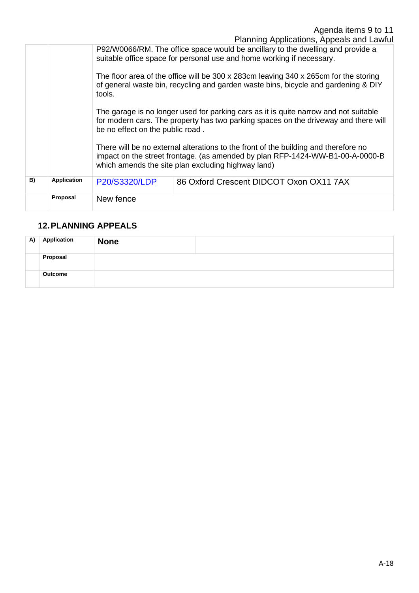P92/W0066/RM. The office space would be ancillary to the dwelling and provide a suitable office space for personal use and home working if necessary. The floor area of the office will be 300 x 283cm leaving 340 x 265cm for the storing of general waste bin, recycling and garden waste bins, bicycle and gardening & DIY tools. The garage is no longer used for parking cars as it is quite narrow and not suitable for modern cars. The property has two parking spaces on the driveway and there will be no effect on the public road. There will be no external alterations to the front of the building and therefore no

impact on the street frontage. (as amended by plan RFP-1424-WW-B1-00-A-0000-B which amends the site plan excluding highway land)

| B) | Application | <b>P20/S3320/LDP</b> | 86 Oxford Crescent DIDCOT Oxon OX11 7AX |
|----|-------------|----------------------|-----------------------------------------|
|    | Proposal    | New fence            |                                         |

#### **12.PLANNING APPEALS**

| A) | <b>Application</b> | <b>None</b> |  |
|----|--------------------|-------------|--|
|    | Proposal           |             |  |
|    | Outcome            |             |  |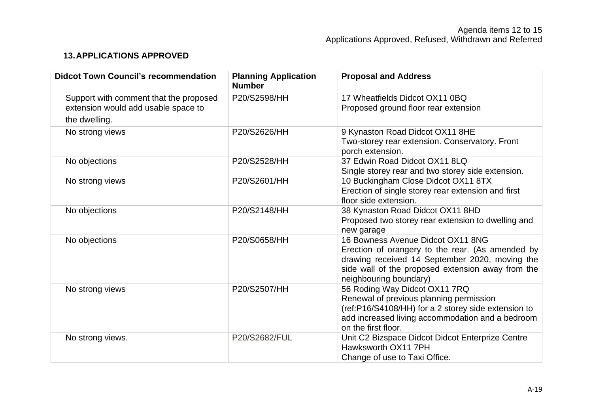#### **13.APPLICATIONS APPROVED**

| <b>Didcot Town Council's recommendation</b> | <b>Planning Application</b><br><b>Number</b> | <b>Proposal and Address</b>                                                                         |
|---------------------------------------------|----------------------------------------------|-----------------------------------------------------------------------------------------------------|
| Support with comment that the proposed      | P20/S2598/HH                                 | 17 Wheatfields Didcot OX11 0BQ                                                                      |
| extension would add usable space to         |                                              | Proposed ground floor rear extension                                                                |
| the dwelling.                               |                                              |                                                                                                     |
| No strong views                             | P20/S2626/HH                                 | 9 Kynaston Road Didcot OX11 8HE                                                                     |
|                                             |                                              | Two-storey rear extension. Conservatory. Front<br>porch extension.                                  |
| No objections                               | P20/S2528/HH                                 | 37 Edwin Road Didcot OX11 8LQ                                                                       |
|                                             |                                              | Single storey rear and two storey side extension.                                                   |
| No strong views                             | P20/S2601/HH                                 | 10 Buckingham Close Didcot OX11 8TX                                                                 |
|                                             |                                              | Erection of single storey rear extension and first                                                  |
|                                             |                                              | floor side extension.                                                                               |
| No objections                               | P20/S2148/HH                                 | 38 Kynaston Road Didcot OX11 8HD                                                                    |
|                                             |                                              | Proposed two storey rear extension to dwelling and                                                  |
|                                             |                                              | new garage                                                                                          |
| No objections                               | P20/S0658/HH                                 | 16 Bowness Avenue Didcot OX11 8NG                                                                   |
|                                             |                                              | Erection of orangery to the rear. (As amended by                                                    |
|                                             |                                              | drawing received 14 September 2020, moving the<br>side wall of the proposed extension away from the |
|                                             |                                              | neighbouring boundary)                                                                              |
| No strong views                             | P20/S2507/HH                                 | 56 Roding Way Didcot OX11 7RQ                                                                       |
|                                             |                                              | Renewal of previous planning permission                                                             |
|                                             |                                              | (ref:P16/S4108/HH) for a 2 storey side extension to                                                 |
|                                             |                                              | add increased living accommodation and a bedroom                                                    |
|                                             |                                              | on the first floor.                                                                                 |
| No strong views.                            | P20/S2682/FUL                                | Unit C2 Bizspace Didcot Didcot Enterprize Centre                                                    |
|                                             |                                              | Hawksworth OX11 7PH                                                                                 |
|                                             |                                              | Change of use to Taxi Office.                                                                       |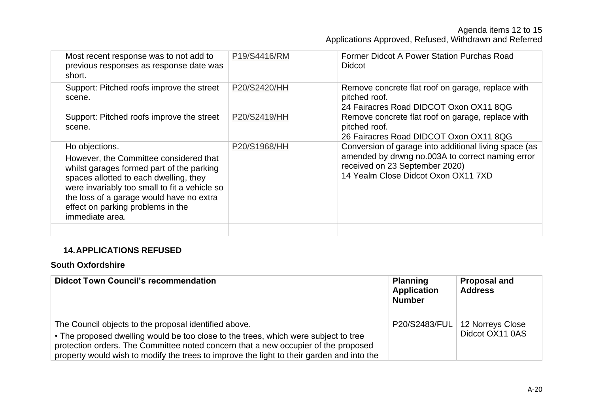Agenda items 12 to 15 Applications Approved, Refused, Withdrawn and Referred

| Most recent response was to not add to<br>previous responses as response date was<br>short.                                                                                                                                                                                                          | P19/S4416/RM | Former Didcot A Power Station Purchas Road<br><b>Didcot</b>                                                                                                                        |
|------------------------------------------------------------------------------------------------------------------------------------------------------------------------------------------------------------------------------------------------------------------------------------------------------|--------------|------------------------------------------------------------------------------------------------------------------------------------------------------------------------------------|
| Support: Pitched roofs improve the street<br>scene.                                                                                                                                                                                                                                                  | P20/S2420/HH | Remove concrete flat roof on garage, replace with<br>pitched roof.<br>24 Fairacres Road DIDCOT Oxon OX11 8QG                                                                       |
| Support: Pitched roofs improve the street<br>scene.                                                                                                                                                                                                                                                  | P20/S2419/HH | Remove concrete flat roof on garage, replace with<br>pitched roof.<br>26 Fairacres Road DIDCOT Oxon OX11 8QG                                                                       |
| Ho objections.<br>However, the Committee considered that<br>whilst garages formed part of the parking<br>spaces allotted to each dwelling, they<br>were invariably too small to fit a vehicle so<br>the loss of a garage would have no extra<br>effect on parking problems in the<br>immediate area. | P20/S1968/HH | Conversion of garage into additional living space (as<br>amended by drwng no.003A to correct naming error<br>received on 23 September 2020)<br>14 Yealm Close Didcot Oxon OX11 7XD |
|                                                                                                                                                                                                                                                                                                      |              |                                                                                                                                                                                    |

#### **14.APPLICATIONS REFUSED**

#### **South Oxfordshire**

| <b>Didcot Town Council's recommendation</b>                                               | <b>Planning</b><br><b>Application</b><br><b>Number</b> | <b>Proposal and</b><br><b>Address</b> |
|-------------------------------------------------------------------------------------------|--------------------------------------------------------|---------------------------------------|
| The Council objects to the proposal identified above.                                     |                                                        | P20/S2483/FUL   12 Norreys Close      |
| • The proposed dwelling would be too close to the trees, which were subject to tree       |                                                        | Didcot OX11 0AS                       |
| protection orders. The Committee noted concern that a new occupier of the proposed        |                                                        |                                       |
| property would wish to modify the trees to improve the light to their garden and into the |                                                        |                                       |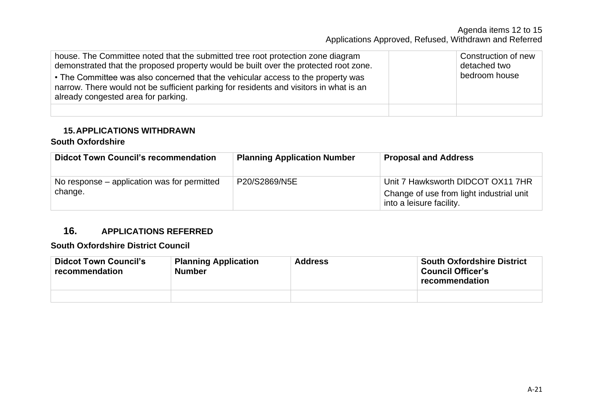#### Agenda items 12 to 15 Applications Approved, Refused, Withdrawn and Referred

| house. The Committee noted that the submitted tree root protection zone diagram<br>demonstrated that the proposed property would be built over the protected root zone.<br>• The Committee was also concerned that the vehicular access to the property was<br>narrow. There would not be sufficient parking for residents and visitors in what is an<br>already congested area for parking. | Construction of new<br>detached two<br>bedroom house |
|----------------------------------------------------------------------------------------------------------------------------------------------------------------------------------------------------------------------------------------------------------------------------------------------------------------------------------------------------------------------------------------------|------------------------------------------------------|
|                                                                                                                                                                                                                                                                                                                                                                                              |                                                      |

#### **15.APPLICATIONS WITHDRAWN**

#### **South Oxfordshire**

| <b>Didcot Town Council's recommendation</b>            | <b>Planning Application Number</b> | <b>Proposal and Address</b>                                                                               |
|--------------------------------------------------------|------------------------------------|-----------------------------------------------------------------------------------------------------------|
| No response – application was for permitted<br>change. | P20/S2869/N5E                      | Unit 7 Hawksworth DIDCOT OX11 7HR<br>Change of use from light industrial unit<br>into a leisure facility. |

#### **16. APPLICATIONS REFERRED**

#### **South Oxfordshire District Council**

| <b>Didcot Town Council's</b><br>recommendation | <b>Planning Application</b><br><b>Number</b> | <b>Address</b> | <b>South Oxfordshire District</b><br><b>Council Officer's</b><br>recommendation |
|------------------------------------------------|----------------------------------------------|----------------|---------------------------------------------------------------------------------|
|                                                |                                              |                |                                                                                 |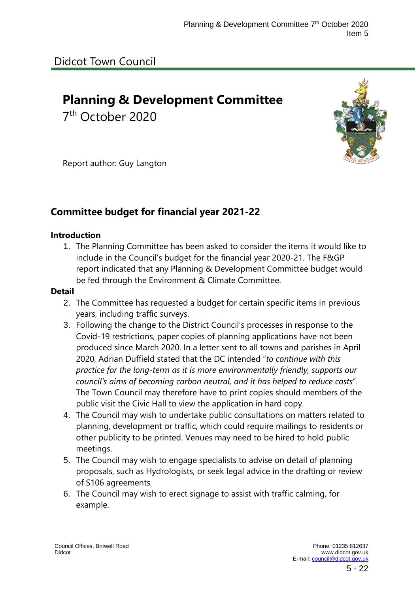# **Planning & Development Committee**

7 th October 2020



Report author: Guy Langton

### **Committee budget for financial year 2021-22**

#### **Introduction**

1. The Planning Committee has been asked to consider the items it would like to include in the Council's budget for the financial year 2020-21. The F&GP report indicated that any Planning & Development Committee budget would be fed through the Environment & Climate Committee.

#### **Detail**

- 2. The Committee has requested a budget for certain specific items in previous years, including traffic surveys.
- 3. Following the change to the District Council's processes in response to the Covid-19 restrictions, paper copies of planning applications have not been produced since March 2020. In a letter sent to all towns and parishes in April 2020, Adrian Duffield stated that the DC intended "*to continue with this practice for the long-term as it is more environmentally friendly, supports our council's aims of becoming carbon neutral, and it has helped to reduce costs*". The Town Council may therefore have to print copies should members of the public visit the Civic Hall to view the application in hard copy.
- 4. The Council may wish to undertake public consultations on matters related to planning, development or traffic, which could require mailings to residents or other publicity to be printed. Venues may need to be hired to hold public meetings.
- 5. The Council may wish to engage specialists to advise on detail of planning proposals, such as Hydrologists, or seek legal advice in the drafting or review of S106 agreements
- 6. The Council may wish to erect signage to assist with traffic calming, for example.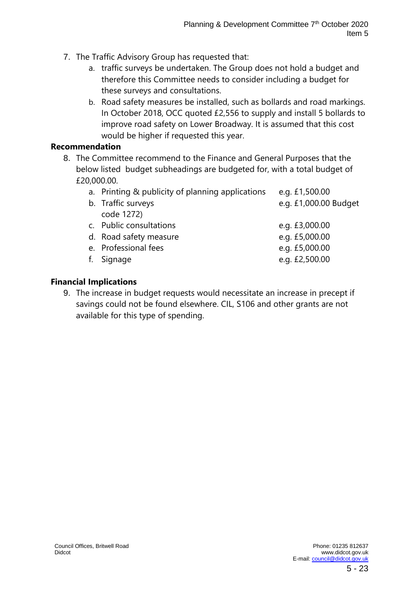- 7. The Traffic Advisory Group has requested that:
	- a. traffic surveys be undertaken. The Group does not hold a budget and therefore this Committee needs to consider including a budget for these surveys and consultations.
	- b. Road safety measures be installed, such as bollards and road markings. In October 2018, OCC quoted £2,556 to supply and install 5 bollards to improve road safety on Lower Broadway. It is assumed that this cost would be higher if requested this year.

#### **Recommendation**

8. The Committee recommend to the Finance and General Purposes that the below listed budget subheadings are budgeted for, with a total budget of £20,000.00.

| a. Printing & publicity of planning applications | e.g. £1,500.00        |
|--------------------------------------------------|-----------------------|
| b. Traffic surveys                               | e.g. £1,000.00 Budget |
| code 1272)                                       |                       |
| c. Public consultations                          | e.g. £3,000.00        |
| d. Road safety measure                           | e.g. £5,000.00        |
| e. Professional fees                             | e.g. £5,000.00        |
| Signage                                          | e.g. £2,500.00        |
|                                                  |                       |

#### **Financial Implications**

9. The increase in budget requests would necessitate an increase in precept if savings could not be found elsewhere. CIL, S106 and other grants are not available for this type of spending.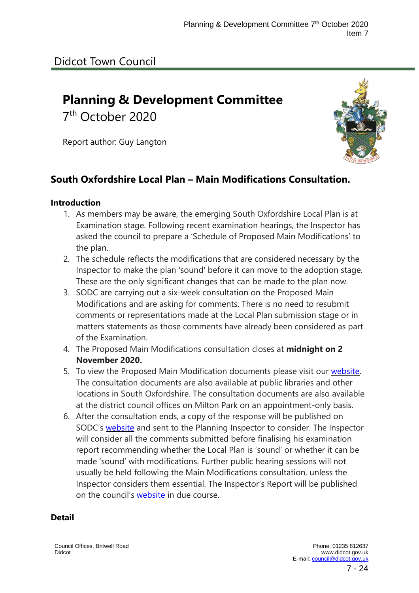# Didcot Town Council

# **Planning & Development Committee**

7 th October 2020

Report author: Guy Langton

### **South Oxfordshire Local Plan – Main Modifications Consultation.**

#### **Introduction**

- 1. As members may be aware, the emerging South Oxfordshire Local Plan is at Examination stage. Following recent examination hearings, the Inspector has asked the council to prepare a 'Schedule of Proposed Main Modifications' to the plan.
- 2. The schedule reflects the modifications that are considered necessary by the Inspector to make the plan 'sound' before it can move to the adoption stage. These are the only significant changes that can be made to the plan now.
- 3. SODC are carrying out a six-week consultation on the Proposed Main Modifications and are asking for comments. There is no need to resubmit comments or representations made at the Local Plan submission stage or in matters statements as those comments have already been considered as part of the Examination.
- 4. The Proposed Main Modifications consultation closes at **midnight on 2 November 2020.**
- 5. To view the Proposed Main Modification documents please visit our [website.](http://www.southoxon.gov.uk/services-and-advice/planning-and-building/planning-policy/local-plan-2034) The consultation documents are also available at public libraries and other locations in South Oxfordshire. The consultation documents are also available at the district council offices on Milton Park on an appointment-only basis.
- 6. After the consultation ends, a copy of the response will be published on SODC's [website](http://www.southoxon.gov.uk/services-and-advice/planning-and-building/planning-policy/local-plan-2034) and sent to the Planning Inspector to consider. The Inspector will consider all the comments submitted before finalising his examination report recommending whether the Local Plan is 'sound' or whether it can be made 'sound' with modifications. Further public hearing sessions will not usually be held following the Main Modifications consultation, unless the Inspector considers them essential. The Inspector's Report will be published on the council's [website](http://www.southoxon.gov.uk/services-and-advice/planning-and-building/planning-policy/local-plan-2034) in due course.

#### **Detail**

Council Offices, Britwell Road Didcot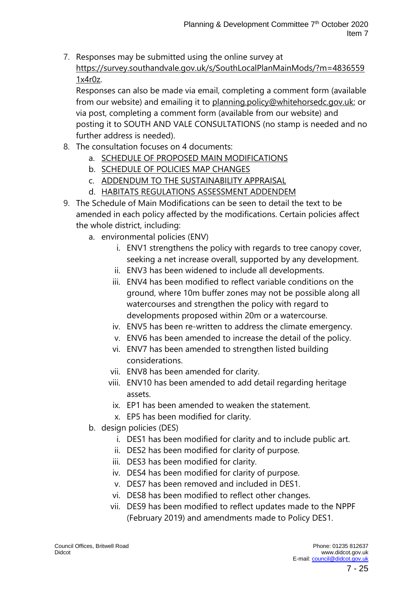7. Responses may be submitted using the online survey at [https://survey.southandvale.gov.uk/s/SouthLocalPlanMainMods/?m=4836559](https://survey.southandvale.gov.uk/s/SouthLocalPlanMainMods/?m=48365591x4r0z) [1x4r0z.](https://survey.southandvale.gov.uk/s/SouthLocalPlanMainMods/?m=48365591x4r0z)

Responses can also be made via email, completing a comment form (available from our website) and emailing it to [planning.policy@whitehorsedc.gov.uk;](mailto:planning.policy@whitehorsedc.gov.uk) or via post, completing a comment form (available from our website) and posting it to SOUTH AND VALE CONSULTATIONS (no stamp is needed and no further address is needed).

- 8. The consultation focuses on 4 documents:
	- a. SCHEDULE OF PROPOSED MAIN [MODIFICATIONS](http://www.southoxon.gov.uk/sites/default/files/1%20Main%20Mods%20Schedule.pdf)
	- b. [SCHEDULE](http://www.southoxon.gov.uk/sites/default/files/Schedule%20of%20Policies%20Map%20Changes.pdf) OF POLICIES MAP CHANGES
	- c. ADDENDUM TO THE [SUSTAINABILITY](https://files.smartsurvey.io/2/0/00KEBPVI/Sustainability_Appraisal_Addendum.pdf) APPRAISAL
	- d. HABITATS [REGULATIONS](https://files.smartsurvey.io/2/0/WDTDHVWC/6_HRA_addendum_main_mods.pdf) ASSESSMENT ADDENDEM
- 9. The Schedule of Main Modifications can be seen to detail the text to be amended in each policy affected by the modifications. Certain policies affect the whole district, including:
	- a. environmental policies (ENV)
		- i. ENV1 strengthens the policy with regards to tree canopy cover, seeking a net increase overall, supported by any development.
		- ii. ENV3 has been widened to include all developments.
		- iii. ENV4 has been modified to reflect variable conditions on the ground, where 10m buffer zones may not be possible along all watercourses and strengthen the policy with regard to developments proposed within 20m or a watercourse.
		- iv. ENV5 has been re-written to address the climate emergency.
		- v. ENV6 has been amended to increase the detail of the policy.
		- vi. ENV7 has been amended to strengthen listed building considerations.
		- vii. ENV8 has been amended for clarity.
		- viii. ENV10 has been amended to add detail regarding heritage assets.
			- ix. EP1 has been amended to weaken the statement.
			- x. EP5 has been modified for clarity.
	- b. design policies (DES)
		- i. DES1 has been modified for clarity and to include public art.
		- ii. DES2 has been modified for clarity of purpose.
		- iii. DES3 has been modified for clarity.
		- iv. DES4 has been modified for clarity of purpose.
		- v. DES7 has been removed and included in DES1.
		- vi. DES8 has been modified to reflect other changes.
		- vii. DES9 has been modified to reflect updates made to the NPPF (February 2019) and amendments made to Policy DES1.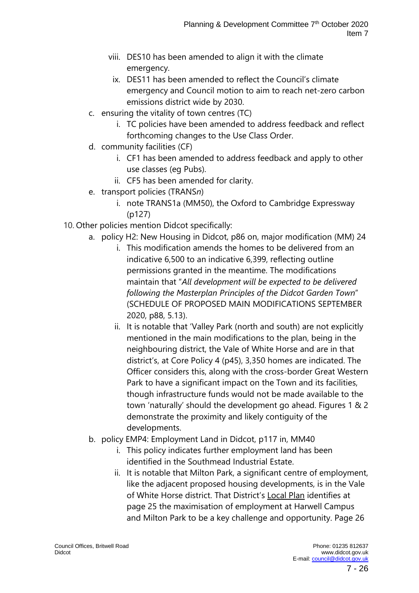- viii. DES10 has been amended to align it with the climate emergency.
- ix. DES11 has been amended to reflect the Council's climate emergency and Council motion to aim to reach net-zero carbon emissions district wide by 2030.
- c. ensuring the vitality of town centres (TC)
	- i. TC policies have been amended to address feedback and reflect forthcoming changes to the Use Class Order.
- d. community facilities (CF)
	- i. CF1 has been amended to address feedback and apply to other use classes (eg Pubs).
	- ii. CF5 has been amended for clarity.
- e. transport policies (TRANS*n*)
	- i. note TRANS1a (MM50), the Oxford to Cambridge Expressway (p127)
- 10. Other policies mention Didcot specifically:
	- a. policy H2: New Housing in Didcot, p86 on, major modification (MM) 24
		- i. This modification amends the homes to be delivered from an indicative 6,500 to an indicative 6,399, reflecting outline permissions granted in the meantime. The modifications maintain that "*All development will be expected to be delivered following the Masterplan Principles of the Didcot Garden Town*" (SCHEDULE OF PROPOSED MAIN MODIFICATIONS SEPTEMBER 2020, p88, 5.13).
		- ii. It is notable that 'Valley Park (north and south) are not explicitly mentioned in the main modifications to the plan, being in the neighbouring district, the Vale of White Horse and are in that district's, at Core Policy 4 (p45), 3,350 homes are indicated. The Officer considers this, along with the cross-border Great Western Park to have a significant impact on the Town and its facilities, though infrastructure funds would not be made available to the town 'naturally' should the development go ahead. Figures 1 & 2 demonstrate the proximity and likely contiguity of the developments.
	- b. policy EMP4: Employment Land in Didcot, p117 in, MM40
		- i. This policy indicates further employment land has been identified in the Southmead Industrial Estate.
		- ii. It is notable that Milton Park, a significant centre of employment, like the adjacent proposed housing developments, is in the Vale of White Horse district. That District's [Local](http://www.whitehorsedc.gov.uk/sites/default/files/Local%20Plan%202031%20Part%201.pdf) Plan identifies at page 25 the maximisation of employment at Harwell Campus and Milton Park to be a key challenge and opportunity. Page 26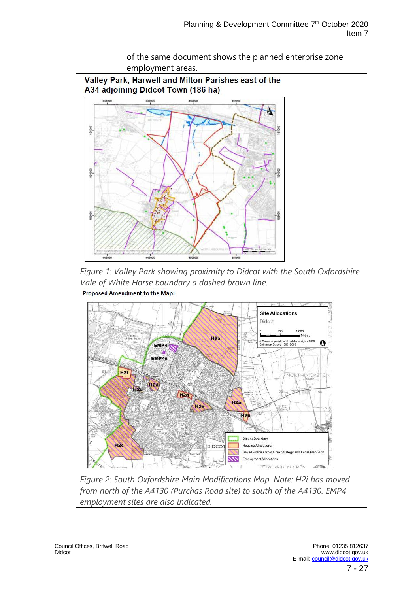

of the same document shows the planned enterprise zone employment areas.

*Figure 1: Valley Park showing proximity to Didcot with the South Oxfordshire-Vale of White Horse boundary a dashed brown line.* Proposed Amendment to the Map:



*Figure 2: South Oxfordshire Main Modifications Map. Note: H2i has moved from north of the A4130 (Purchas Road site) to south of the A4130. EMP4 employment sites are also indicated.*